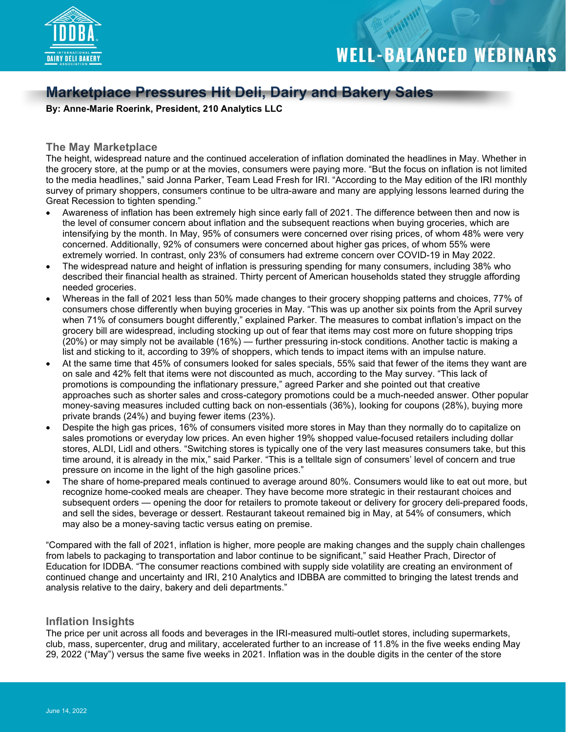

### **Marketplace Pressures Hit Deli, Dairy and Bakery Sales**

**By: Anne-Marie Roerink, President, 210 Analytics LLC**

### **The May Marketplace**

The height, widespread nature and the continued acceleration of inflation dominated the headlines in May. Whether in the grocery store, at the pump or at the movies, consumers were paying more. "But the focus on inflation is not limited to the media headlines," said Jonna Parker, Team Lead Fresh for IRI. "According to the May edition of the IRI monthly survey of primary shoppers, consumers continue to be ultra-aware and many are applying lessons learned during the Great Recession to tighten spending."

- Awareness of inflation has been extremely high since early fall of 2021. The difference between then and now is the level of consumer concern about inflation and the subsequent reactions when buying groceries, which are intensifying by the month. In May, 95% of consumers were concerned over rising prices, of whom 48% were very concerned. Additionally, 92% of consumers were concerned about higher gas prices, of whom 55% were extremely worried. In contrast, only 23% of consumers had extreme concern over COVID-19 in May 2022.
- The widespread nature and height of inflation is pressuring spending for many consumers, including 38% who described their financial health as strained. Thirty percent of American households stated they struggle affording needed groceries.
- Whereas in the fall of 2021 less than 50% made changes to their grocery shopping patterns and choices, 77% of consumers chose differently when buying groceries in May. "This was up another six points from the April survey when 71% of consumers bought differently," explained Parker. The measures to combat inflation's impact on the grocery bill are widespread, including stocking up out of fear that items may cost more on future shopping trips (20%) or may simply not be available (16%) — further pressuring in-stock conditions. Another tactic is making a list and sticking to it, according to 39% of shoppers, which tends to impact items with an impulse nature.
- At the same time that 45% of consumers looked for sales specials, 55% said that fewer of the items they want are on sale and 42% felt that items were not discounted as much, according to the May survey. "This lack of promotions is compounding the inflationary pressure," agreed Parker and she pointed out that creative approaches such as shorter sales and cross-category promotions could be a much-needed answer. Other popular money-saving measures included cutting back on non-essentials (36%), looking for coupons (28%), buying more private brands (24%) and buying fewer items (23%).
- Despite the high gas prices, 16% of consumers visited more stores in May than they normally do to capitalize on sales promotions or everyday low prices. An even higher 19% shopped value-focused retailers including dollar stores, ALDI, Lidl and others. "Switching stores is typically one of the very last measures consumers take, but this time around, it is already in the mix," said Parker. "This is a telltale sign of consumers' level of concern and true pressure on income in the light of the high gasoline prices."
- The share of home-prepared meals continued to average around 80%. Consumers would like to eat out more, but recognize home-cooked meals are cheaper. They have become more strategic in their restaurant choices and subsequent orders — opening the door for retailers to promote takeout or delivery for grocery deli-prepared foods, and sell the sides, beverage or dessert. Restaurant takeout remained big in May, at 54% of consumers, which may also be a money-saving tactic versus eating on premise.

"Compared with the fall of 2021, inflation is higher, more people are making changes and the supply chain challenges from labels to packaging to transportation and labor continue to be significant," said Heather Prach, Director of Education for IDDBA. "The consumer reactions combined with supply side volatility are creating an environment of continued change and uncertainty and IRI, 210 Analytics and IDBBA are committed to bringing the latest trends and analysis relative to the dairy, bakery and deli departments."

### **Inflation Insights**

The price per unit across all foods and beverages in the IRI-measured multi-outlet stores, including supermarkets, club, mass, supercenter, drug and military, accelerated further to an increase of 11.8% in the five weeks ending May 29, 2022 ("May") versus the same five weeks in 2021. Inflation was in the double digits in the center of the store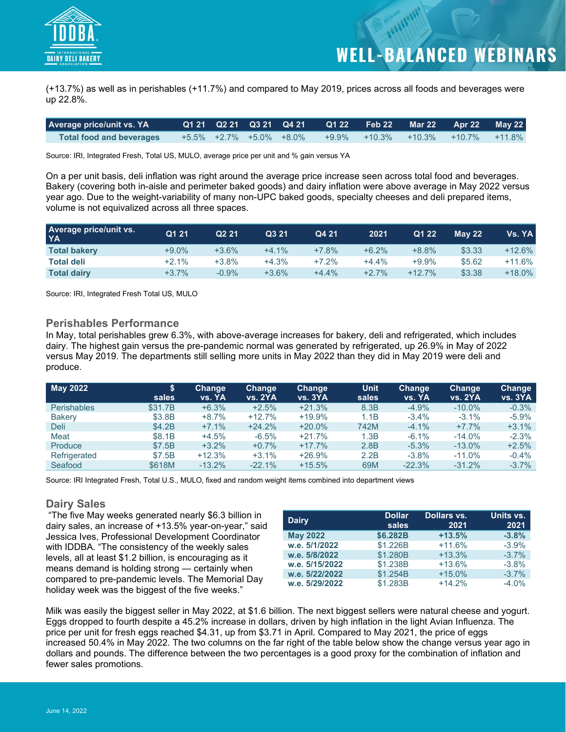

(+13.7%) as well as in perishables (+11.7%) and compared to May 2019, prices across all foods and beverages were up 22.8%.

| <b>Average price/unit vs. YA</b> |  |                         | Q1 21 Q2 21 Q3 21 Q4 21 Q1 22 Feb 22 Mar 22 Apr 22 May 22 |  |  |
|----------------------------------|--|-------------------------|-----------------------------------------------------------|--|--|
| <b>Total food and beverages</b>  |  | +5.5% +2.7% +5.0% +8.0% | +9.9% +10.3% +10.3% +10.7% +11.8%                         |  |  |

Source: IRI, Integrated Fresh, Total US, MULO, average price per unit and % gain versus YA

On a per unit basis, deli inflation was right around the average price increase seen across total food and beverages. Bakery (covering both in-aisle and perimeter baked goods) and dairy inflation were above average in May 2022 versus year ago. Due to the weight-variability of many non-UPC baked goods, specialty cheeses and deli prepared items, volume is not equivalized across all three spaces.

| <b>Average price/unit vs.</b><br><b>YA</b> | Q1 21    | Q <sub>2</sub> 21 | Q3 21   | Q4 21   | 2021    | Q1 22     | <b>May 22</b> | Vs. YA l  |
|--------------------------------------------|----------|-------------------|---------|---------|---------|-----------|---------------|-----------|
| <b>Total bakery</b>                        | $+9.0\%$ | $+3.6%$           | $+4.1%$ | $+7.8%$ | $+6.2%$ | $+8.8%$   | \$3.33        | $+12.6%$  |
| <b>Total deli</b>                          | $+2.1%$  | +3.8%             | $+4.3%$ | $+7.2%$ | $+4.4%$ | $+9.9\%$  | \$5.62        | $+11.6\%$ |
| <b>Total dairy</b>                         | $+3.7%$  | $-0.9%$           | $+3.6%$ | $+4.4%$ | $+2.7%$ | $+12.7\%$ | \$3.38        | $+18.0\%$ |

Source: IRI, Integrated Fresh Total US, MULO

### **Perishables Performance**

In May, total perishables grew 6.3%, with above-average increases for bakery, deli and refrigerated, which includes dairy. The highest gain versus the pre-pandemic normal was generated by refrigerated, up 26.9% in May of 2022 versus May 2019. The departments still selling more units in May 2022 than they did in May 2019 were deli and produce.

| <b>May 2022</b>    | S<br>sales | Change<br>vs. YA | Change<br><b>vs. 2YA</b> | <b>Change</b><br><b>vs. 3YA</b> | <b>Unit</b><br>sales | Change<br><b>VS. YA</b> | <b>Change</b><br><b>vs. 2YA</b> | Change<br><b>vs. 3YA</b> |
|--------------------|------------|------------------|--------------------------|---------------------------------|----------------------|-------------------------|---------------------------------|--------------------------|
| <b>Perishables</b> | \$31.7B    | $+6.3%$          | $+2.5%$                  | $+21.3%$                        | 8.3B                 | $-4.9%$                 | $-10.0\%$                       | $-0.3%$                  |
| <b>Bakery</b>      | \$3.8B     | $+8.7%$          | $+12.7%$                 | $+19.9%$                        | 1.1B                 | $-3.4\%$                | $-3.1%$                         | $-5.9%$                  |
| <b>Deli</b>        | \$4.2B     | $+7.1%$          | $+24.2%$                 | $+20.0%$                        | 742M                 | $-4.1%$                 | $+7.7%$                         | $+3.1%$                  |
| Meat               | \$8.1B     | $+4.5%$          | $-6.5%$                  | $+21.7%$                        | 1.3B                 | $-6.1\%$                | $-14.0%$                        | $-2.3%$                  |
| Produce            | \$7.5B     | $+3.2%$          | $+0.7%$                  | $+17.7%$                        | 2.8B                 | $-5.3%$                 | $-13.0%$                        | $+2.5%$                  |
| Refrigerated       | \$7.5B     | $+12.3%$         | $+3.1%$                  | $+26.9%$                        | 2.2B                 | $-3.8%$                 | $-11.0%$                        | $-0.4%$                  |
| Seafood            | \$618M     | $-13.2%$         | $-22.1%$                 | $+15.5%$                        | 69M                  | $-22.3%$                | $-31.2%$                        | $-3.7%$                  |

Source: IRI Integrated Fresh, Total U.S., MULO, fixed and random weight items combined into department views

### **Dairy Sales**

 "The five May weeks generated nearly \$6.3 billion in dairy sales, an increase of +13.5% year-on-year," said Jessica Ives, Professional Development Coordinator with IDDBA. "The consistency of the weekly sales levels, all at least \$1.2 billion, is encouraging as it means demand is holding strong — certainly when compared to pre-pandemic levels. The Memorial Day holiday week was the biggest of the five weeks."

| <b>Dairy</b>    | <b>Dollar</b><br>sales | Dollars vs.<br>2021 | Units vs.<br>2021 |
|-----------------|------------------------|---------------------|-------------------|
| <b>May 2022</b> | \$6,282B               | $+13.5%$            | $-3.8%$           |
| w.e. 5/1/2022   | \$1.226B               | $+11.6%$            | $-3.9%$           |
| w.e. 5/8/2022   | \$1.280B               | $+13.3%$            | $-3.7%$           |
| w.e. 5/15/2022  | \$1.238B               | $+13.6%$            | $-3.8%$           |
| w.e. 5/22/2022  | \$1.254B               | $+15.0%$            | $-3.7%$           |
| w.e. 5/29/2022  | \$1.283B               | $+14.2%$            | $-4.0%$           |

Milk was easily the biggest seller in May 2022, at \$1.6 billion. The next biggest sellers were natural cheese and yogurt. Eggs dropped to fourth despite a 45.2% increase in dollars, driven by high inflation in the light Avian Influenza. The price per unit for fresh eggs reached \$4.31, up from \$3.71 in April. Compared to May 2021, the price of eggs increased 50.4% in May 2022. The two columns on the far right of the table below show the change versus year ago in dollars and pounds. The difference between the two percentages is a good proxy for the combination of inflation and fewer sales promotions.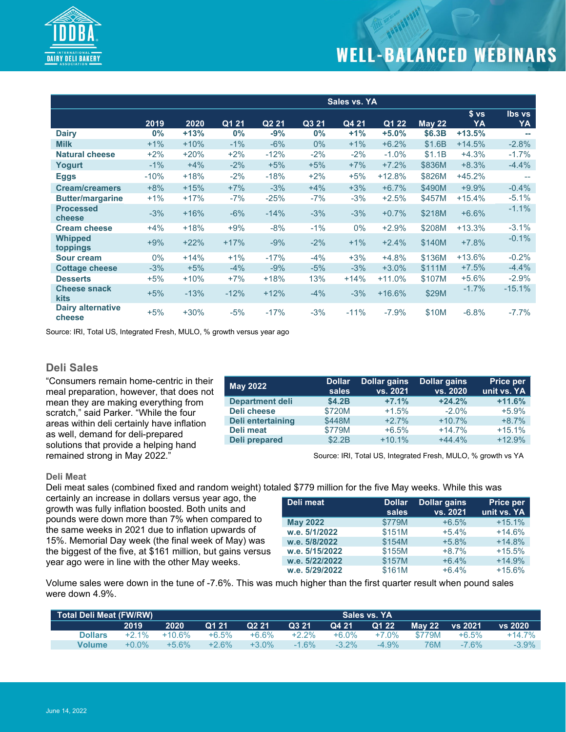

|                                    |        |        |        |                   |       | Sales vs. YA |                    |        |                       |                     |
|------------------------------------|--------|--------|--------|-------------------|-------|--------------|--------------------|--------|-----------------------|---------------------|
|                                    | 2019   | 2020   | Q1 21  | Q <sub>2</sub> 21 | Q3 21 | Q4 21        | $\overline{Q1}$ 22 | May 22 | s <sub>vs</sub><br>YA | <b>Ibs vs</b><br>YA |
| <b>Dairy</b>                       | $0\%$  | $+13%$ | $0\%$  | $-9%$             | 0%    | $+1%$        | $+5.0%$            | \$6.3B | $+13.5%$              |                     |
| <b>Milk</b>                        | $+1\%$ | $+10%$ | $-1\%$ | $-6%$             | $0\%$ | $+1\%$       | $+6.2%$            | \$1.6B | $+14.5%$              | $-2.8%$             |
| <b>Natural cheese</b>              | $+2%$  | $+20%$ | $+2%$  | $-12%$            | $-2%$ | $-2%$        | $-1.0%$            | \$1.1B | $+4.3%$               | $-1.7%$             |
| Yogurt                             | $-1\%$ | $+4%$  | $-2%$  | $+5%$             | $+5%$ | $+7%$        | $+7.2%$            | \$836M | $+8.3%$               | $-4.4%$             |
| <b>Eggs</b>                        | $-10%$ | $+18%$ | $-2%$  | $-18%$            | $+2%$ | $+5%$        | $+12.8%$           | \$826M | $+45.2%$              | $\overline{a}$      |
| <b>Cream/creamers</b>              | $+8%$  | $+15%$ | $+7%$  | $-3%$             | $+4%$ | $+3%$        | $+6.7%$            | \$490M | $+9.9%$               | $-0.4%$             |
| <b>Butter/margarine</b>            | $+1\%$ | $+17%$ | $-7%$  | $-25%$            | $-7%$ | $-3%$        | $+2.5%$            | \$457M | $+15.4%$              | $-5.1%$             |
| <b>Processed</b><br>cheese         | $-3%$  | $+16%$ | $-6%$  | $-14%$            | $-3%$ | $-3%$        | $+0.7%$            | \$218M | $+6.6%$               | $-1.1%$             |
| <b>Cream cheese</b>                | $+4%$  | $+18%$ | $+9%$  | $-8%$             | $-1%$ | $0\%$        | $+2.9%$            | \$208M | $+13.3%$              | $-3.1%$             |
| <b>Whipped</b><br>toppings         | $+9%$  | $+22%$ | $+17%$ | $-9%$             | $-2%$ | $+1%$        | $+2.4%$            | \$140M | $+7.8%$               | $-0.1%$             |
| <b>Sour cream</b>                  | $0\%$  | $+14%$ | $+1%$  | $-17%$            | $-4%$ | $+3%$        | $+4.8%$            | \$136M | $+13.6%$              | $-0.2%$             |
| <b>Cottage cheese</b>              | $-3%$  | $+5%$  | $-4%$  | $-9%$             | $-5%$ | $-3%$        | $+3.0%$            | \$111M | $+7.5%$               | $-4.4%$             |
| <b>Desserts</b>                    | $+5%$  | $+10%$ | $+7%$  | $+18%$            | 13%   | $+14%$       | $+11.0%$           | \$107M | $+5.6%$               | $-2.9%$             |
| <b>Cheese snack</b><br>kits        | $+5%$  | $-13%$ | $-12%$ | $+12%$            | $-4%$ | $-3%$        | $+16.6%$           | \$29M  | $-1.7%$               | $-15.1%$            |
| <b>Dairy alternative</b><br>cheese | $+5%$  | $+30%$ | $-5%$  | $-17%$            | $-3%$ | $-11%$       | $-7.9%$            | \$10M  | $-6.8%$               | $-7.7%$             |

Source: IRI, Total US, Integrated Fresh, MULO, % growth versus year ago

### **Deli Sales**

"Consumers remain home-centric in their meal preparation, however, that does not mean they are making everything from scratch," said Parker. "While the four areas within deli certainly have inflation as well, demand for deli-prepared solutions that provide a helping hand remained strong in May 2022."

| May 2022               | <b>Dollar</b><br>sales | <b>Dollar gains</b><br>vs. 2021 | <b>Dollar gains</b><br>vs. 2020 | Price per<br>unit vs. YA |
|------------------------|------------------------|---------------------------------|---------------------------------|--------------------------|
| <b>Department deli</b> | \$4.2B                 | $+7.1%$                         | $+24.2%$                        | $+11.6%$                 |
| Deli cheese            | \$720M                 | $+1.5%$                         | $-2.0\%$                        | $+5.9%$                  |
| Deli entertaining      | \$448M                 | $+2.7%$                         | $+10.7%$                        | $+8.7%$                  |
| Deli meat              | \$779M                 | $+6.5%$                         | $+14.7%$                        | $+15.1%$                 |
| <b>Deli prepared</b>   | \$2.2B                 | $+10.1%$                        | $+44.4%$                        | $+12.9%$                 |

Source: IRI, Total US, Integrated Fresh, MULO, % growth vs YA

#### **Deli Meat**

Deli meat sales (combined fixed and random weight) totaled \$779 million for the five May weeks. While this was

certainly an increase in dollars versus year ago, the growth was fully inflation boosted. Both units and pounds were down more than 7% when compared to the same weeks in 2021 due to inflation upwards of 15%. Memorial Day week (the final week of May) was the biggest of the five, at \$161 million, but gains versus year ago were in line with the other May weeks.

| Deli meat       | <b>Dollar</b><br>sales | <b>Dollar gains</b><br>vs. 2021 | <b>Price per</b><br>unit vs. YA |
|-----------------|------------------------|---------------------------------|---------------------------------|
| <b>May 2022</b> | \$779M                 | $+6.5%$                         | $+15.1%$                        |
| w.e. 5/1/2022   | \$151M                 | $+5.4%$                         | $+14.6%$                        |
| w.e. 5/8/2022   | \$154M                 | $+5.8%$                         | $+14.8%$                        |
| w.e. 5/15/2022  | \$155M                 | $+8.7%$                         | $+15.5%$                        |
| w.e. 5/22/2022  | \$157M                 | $+6.4%$                         | $+14.9%$                        |
| w.e. 5/29/2022  | \$161M                 | $+6.4%$                         | $+15.6%$                        |

Volume sales were down in the tune of -7.6%. This was much higher than the first quarter result when pound sales were down 4.9%.

|                |          |          |         |                   |          |          | Total Deli Meat (FW/RW)<br>Sales vs. YA |               |                            |           |  |  |  |  |  |  |  |
|----------------|----------|----------|---------|-------------------|----------|----------|-----------------------------------------|---------------|----------------------------|-----------|--|--|--|--|--|--|--|
|                | 2019     | 2020     | Q1 21   | Q <sub>2</sub> 21 | Q3 21    | Q4 21    | Q1 22                                   | <b>May 22</b> | $\sqrt{5}$ 2021 $\sqrt{2}$ | vs 2020   |  |  |  |  |  |  |  |
| <b>Dollars</b> | $+2.1\%$ | $+10.6%$ | +6.5%   | $+6.6%$           | $+2.2\%$ | $+6.0\%$ | +7.0%                                   | \$779M        | $+6.5%$                    | $+14.7\%$ |  |  |  |  |  |  |  |
| Volume         | $+0.0\%$ | $+5.6\%$ | $+2.6%$ | $+3.0\%$          | $-1.6\%$ | $-3.2\%$ | $-4.9\%$                                | 76M           | $-7.6\%$                   | $-3.9\%$  |  |  |  |  |  |  |  |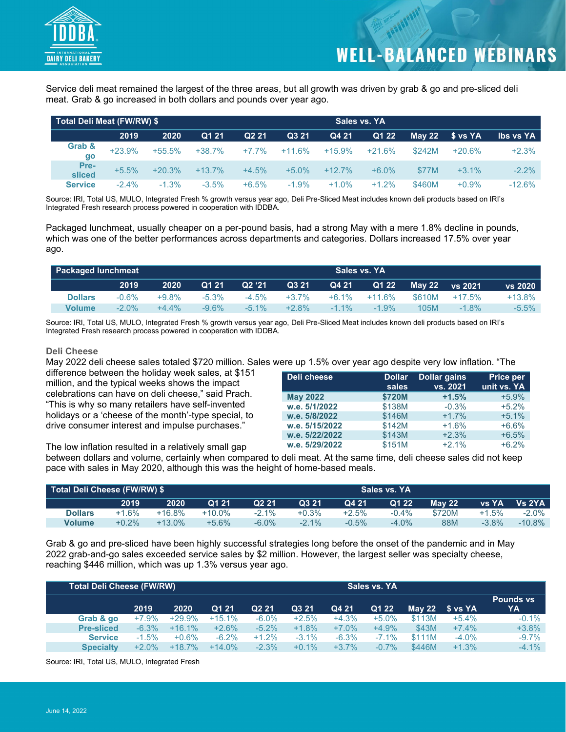

Service deli meat remained the largest of the three areas, but all growth was driven by grab & go and pre-sliced deli meat. Grab & go increased in both dollars and pounds over year ago.

|                | Total Deli Meat (FW/RW) \$ |          |          |                   |          |          |          |          |          |                  |
|----------------|----------------------------|----------|----------|-------------------|----------|----------|----------|----------|----------|------------------|
|                | 2019                       | 2020     | Q1 21    | Q <sub>2</sub> 21 | Q3 21    | Q4 21    | Q1 22    | May $22$ | S vs YA  | <b>Ibs vs YA</b> |
| Grab &<br>go   | $+23.9%$                   | $+55.5%$ | $+38.7%$ | $+7.7%$           | $+11.6%$ | $+15.9%$ | $+21.6%$ | \$242M   | $+20.6%$ | $+2.3%$          |
| Pre-<br>sliced | $+5.5%$                    | $+20.3%$ | $+13.7%$ | $+4.5%$           | $+5.0%$  | $+12.7%$ | $+6.0\%$ | \$77M    | $+3.1%$  | $-2.2%$          |
| <b>Service</b> | $-2.4%$                    | $-1.3%$  | $-3.5%$  | $+6.5%$           | $-1.9%$  | $+1.0%$  | $+1.2%$  | \$460M   | $+0.9%$  | $-12.6%$         |

Source: IRI, Total US, MULO, Integrated Fresh % growth versus year ago, Deli Pre-Sliced Meat includes known deli products based on IRI's Integrated Fresh research process powered in cooperation with IDDBA.

Packaged lunchmeat, usually cheaper on a per-pound basis, had a strong May with a mere 1.8% decline in pounds, which was one of the better performances across departments and categories. Dollars increased 17.5% over year ago.

|                | <b>Packaged lunchmeat</b> |          |          |          |          |          | Sales vs. YA |        |                |          |
|----------------|---------------------------|----------|----------|----------|----------|----------|--------------|--------|----------------|----------|
|                | 2019                      | 2020     | Q1 21    | Q2 '21   | Q3 21    | Q4 21    | Q1 22        |        | May 22 vs 2021 | vs 2020  |
| <b>Dollars</b> | $-0.6%$                   | $+9.8\%$ | $-5.3\%$ | $-4.5\%$ | $+3.7%$  | $+6.1\%$ | $+11.6\%$    | \$610M | $+17.5\%$      | +13.8%   |
| <b>Volume</b>  | $-2.0\%$                  | $+4.4\%$ | -9.6%    | $-5.1\%$ | $+2.8\%$ | $-11\%$  | $-1.9\%$     | 105M   | $-1.8\%$       | $-5.5\%$ |

Source: IRI, Total US, MULO, Integrated Fresh % growth versus year ago, Deli Pre-Sliced Meat includes known deli products based on IRI's Integrated Fresh research process powered in cooperation with IDDBA.

### **Deli Cheese**

May 2022 deli cheese sales totaled \$720 million. Sales were up 1.5% over year ago despite very low inflation. "The

difference between the holiday week sales, at \$151 million, and the typical weeks shows the impact celebrations can have on deli cheese," said Prach. "This is why so many retailers have self-invented holidays or a 'cheese of the month'-type special, to drive consumer interest and impulse purchases."

| Deli cheese     | <b>Dollar</b><br>sales | <b>Dollar gains</b><br>vs. 2021 | <b>Price per</b><br>unit vs. YA |
|-----------------|------------------------|---------------------------------|---------------------------------|
| <b>May 2022</b> | \$720M                 | $+1.5%$                         | $+5.9%$                         |
| w.e. 5/1/2022   | \$138M                 | $-0.3%$                         | $+5.2%$                         |
| w.e. 5/8/2022   | \$146M                 | $+1.7%$                         | $+5.1%$                         |
| w.e. 5/15/2022  | \$142M                 | $+1.6%$                         | $+6.6%$                         |
| w.e. 5/22/2022  | \$143M                 | $+2.3%$                         | $+6.5%$                         |
| w.e. 5/29/2022  | \$151M                 | $+2.1%$                         | $+6.2%$                         |

The low inflation resulted in a relatively small gap

between dollars and volume, certainly when compared to deli meat. At the same time, deli cheese sales did not keep pace with sales in May 2020, although this was the height of home-based meals.

|                |          |           | Total Deli Cheese (FW/RW) \$ |                   |         |         |          |               |          |           |
|----------------|----------|-----------|------------------------------|-------------------|---------|---------|----------|---------------|----------|-----------|
|                | 2019     | 2020      | Q1 21                        | Q <sub>2</sub> 21 | Q3 21   | Q4 21   | Q1 22    | <b>May 22</b> | lvs YA'  | Vs 2YA    |
| <b>Dollars</b> | $+1.6%$  | $+16.8%$  | +10.0%                       | $-2.1\%$          | +0.3%   | $+2.5%$ | $-0.4\%$ | \$720M        | $+1.5%$  | $-2.0\%$  |
| <b>Volume</b>  | $+0.2\%$ | $+13.0\%$ | $+5.6%$                      | $-6.0\%$          | $-2.1%$ | $-0.5%$ | $-4.0\%$ | 88M           | $-3.8\%$ | $-10.8\%$ |

Grab & go and pre-sliced have been highly successful strategies long before the onset of the pandemic and in May 2022 grab-and-go sales exceeded service sales by \$2 million. However, the largest seller was specialty cheese, reaching \$446 million, which was up 1.3% versus year ago.

|                   | <b>Total Deli Cheese (FW/RW)</b><br>Sales vs. YA |          |          |                   |          |          |          |            |         |                        |
|-------------------|--------------------------------------------------|----------|----------|-------------------|----------|----------|----------|------------|---------|------------------------|
|                   | 2019                                             | 2020     | Q1 21    | Q <sub>2</sub> 21 | Q3 21    | Q4 21    | Q1 22    | May 22 $-$ | S vs YA | <b>Pounds vs</b><br>YA |
| Grab & go         | $+7.9%$                                          | $+29.9%$ | $+15.1%$ | $-6.0\%$          | $+2.5%$  | $+4.3%$  | $+5.0%$  | \$113M     | $+5.4%$ | $-0.1\%$               |
| <b>Pre-sliced</b> | $-6.3%$                                          | $+16.1%$ | $+2.6%$  | $-5.2\%$          | $+1.8%$  | $+7.0\%$ | $+4.9%$  | \$43M      | $+7.4%$ | $+3.8%$                |
| <b>Service</b>    | $-1.5%$                                          | $+0.6%$  | $-6.2\%$ | $+1.2%$           | $-3.1\%$ | $-6.3%$  | $-7.1%$  | \$111M     | $-4.0%$ | $-9.7\%$               |
| <b>Specialty</b>  | $+2.0%$                                          | $+18.7%$ | $+14.0%$ | $-2.3%$           | $+0.1\%$ | $+3.7\%$ | $-0.7\%$ | \$446M     | $+1.3%$ | $-4.1%$                |

Source: IRI, Total US, MULO, Integrated Fresh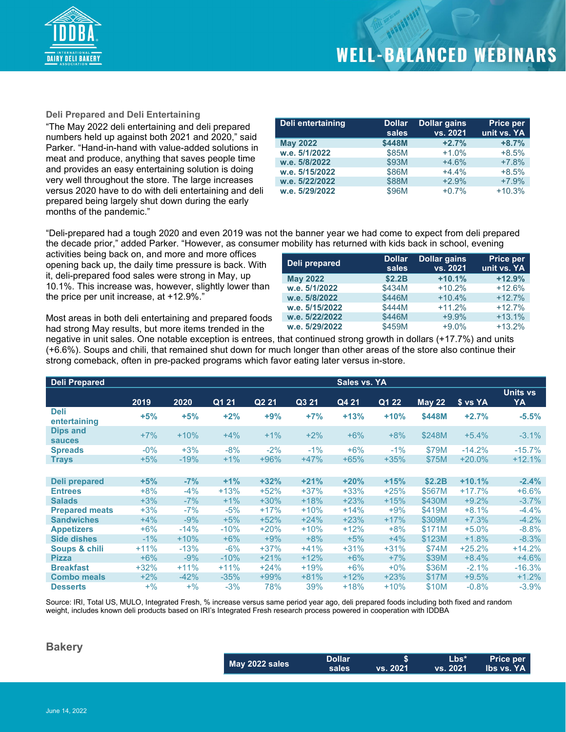

**Dollar gains vs. 2021**

**Price per unit vs. YA**

### **Deli Prepared and Deli Entertaining**

"The May 2022 deli entertaining and deli prepared numbers held up against both 2021 and 2020," said Parker. "Hand-in-hand with value-added solutions in meat and produce, anything that saves people time and provides an easy entertaining solution is doing very well throughout the store. The large increases versus 2020 have to do with deli entertaining and deli prepared being largely shut down during the early months of the pandemic."

| Deli entertaining | <b>Dollar</b><br>sales | <b>Dollar gains</b><br>vs. 2021 | <b>Price per</b><br>unit vs. YA |
|-------------------|------------------------|---------------------------------|---------------------------------|
| <b>May 2022</b>   | \$448M                 | $+2.7%$                         | $+8.7%$                         |
| w.e. 5/1/2022     | \$85M                  | $+1.0%$                         | $+8.5%$                         |
| w.e. 5/8/2022     | \$93M                  | $+4.6%$                         | $+7.8%$                         |
| w.e. 5/15/2022    | \$86M                  | $+4.4%$                         | $+8.5%$                         |
| w.e. 5/22/2022    | \$88M                  | $+2.9%$                         | $+7.9%$                         |
| w.e. 5/29/2022    | \$96M                  | $+0.7%$                         | $+10.3%$                        |

**sales**

**May 2022 \$2.2B +10.1% +12.9%**

**w.e. 5/8/2022** \$446M +10.4% +12.7% **w.e. 5/15/2022** \$444M +11.2% +12.7% **w.e. 5/22/2022** \$446M +9.9% +13.1%

"Deli-prepared had a tough 2020 and even 2019 was not the banner year we had come to expect from deli prepared the decade prior," added Parker. "However, as consumer mobility has returned with kids back in school, evening

**Deli prepared Dollar** 

activities being back on, and more and more offices opening back up, the daily time pressure is back. With it, deli-prepared food sales were strong in May, up 10.1%. This increase was, however, slightly lower than the price per unit increase, at +12.9%."

Most areas in both deli entertaining and prepared foods had strong May results, but more items trended in the

negative in unit sales. One notable exception is entrees, that continued strong growth in dollars (+17.7%) and units (+6.6%). Soups and chili, that remained shut down for much longer than other areas of the store also continue their strong comeback, often in pre-packed programs which favor eating later versus in-store. **w.e. 5/29/2022** \$459M +9.0% +13.2%

**w.e. 5/1/2022** 

| <b>Deli Prepared</b>             |        |        |        |                   |                    | Sales vs. YA |        |               |          |                       |
|----------------------------------|--------|--------|--------|-------------------|--------------------|--------------|--------|---------------|----------|-----------------------|
|                                  | 2019   | 2020   | Q1 21  | Q <sub>2</sub> 21 | $\overline{Q3}$ 21 | Q4 21        | Q1 22  | <b>May 22</b> | \$ vs YA | <b>Units vs</b><br>YA |
| <b>Deli</b><br>entertaining      | $+5%$  | $+5%$  | $+2%$  | $+9%$             | $+7%$              | $+13%$       | $+10%$ | \$448M        | $+2.7%$  | $-5.5%$               |
| <b>Dips and</b><br><b>sauces</b> | $+7%$  | $+10%$ | $+4%$  | $+1\%$            | $+2%$              | $+6%$        | $+8%$  | \$248M        | $+5.4%$  | $-3.1%$               |
| <b>Spreads</b>                   | $-0\%$ | $+3%$  | $-8%$  | $-2%$             | $-1%$              | $+6\%$       | $-1\%$ | \$79M         | $-14.2%$ | $-15.7%$              |
| <b>Trays</b>                     | $+5%$  | $-19%$ | $+1\%$ | $+96%$            | $+47%$             | $+65%$       | $+35%$ | \$75M         | $+20.0%$ | $+12.1%$              |
|                                  |        |        |        |                   |                    |              |        |               |          |                       |
| Deli prepared                    | $+5%$  | $-7%$  | $+1%$  | $+32%$            | $+21%$             | $+20%$       | $+15%$ | \$2.2B        | $+10.1%$ | $-2.4%$               |
| <b>Entrees</b>                   | $+8%$  | $-4%$  | $+13%$ | $+52%$            | $+37%$             | $+33%$       | $+25%$ | \$567M        | $+17.7%$ | $+6.6%$               |
| <b>Salads</b>                    | $+3%$  | $-7%$  | $+1\%$ | $+30\%$           | $+18%$             | $+23%$       | $+15%$ | \$430M        | $+9.2%$  | $-3.7%$               |
| <b>Prepared meats</b>            | $+3%$  | $-7%$  | $-5%$  | $+17%$            | $+10%$             | $+14%$       | $+9%$  | \$419M        | $+8.1%$  | $-4.4%$               |
| <b>Sandwiches</b>                | $+4%$  | $-9%$  | $+5%$  | $+52%$            | $+24%$             | $+23%$       | $+17%$ | \$309M        | $+7.3%$  | $-4.2%$               |
| <b>Appetizers</b>                | $+6\%$ | $-14%$ | $-10%$ | $+20%$            | $+10%$             | $+12%$       | $+8%$  | \$171M        | $+5.0%$  | $-8.8%$               |
| <b>Side dishes</b>               | $-1\%$ | $+10%$ | $+6\%$ | $+9%$             | $+8%$              | $+5%$        | $+4%$  | \$123M        | $+1.8%$  | $-8.3%$               |
| Soups & chili                    | $+11%$ | $-13%$ | $-6%$  | $+37%$            | $+41%$             | $+31%$       | $+31%$ | \$74M         | $+25.2%$ | $+14.2%$              |
| <b>Pizza</b>                     | $+6%$  | $-9%$  | $-10%$ | $+21%$            | $+12%$             | $+6%$        | $+7%$  | \$39M         | $+8.4%$  | $+4.6%$               |
| <b>Breakfast</b>                 | $+32%$ | $+11%$ | $+11%$ | $+24%$            | $+19%$             | $+6\%$       | $+0\%$ | \$36M         | $-2.1%$  | $-16.3%$              |
| <b>Combo meals</b>               | $+2%$  | $-42%$ | $-35%$ | $+99%$            | $+81%$             | $+12%$       | $+23%$ | \$17M         | $+9.5%$  | $+1.2%$               |
| <b>Desserts</b>                  | $+$ %  | $+$ %  | $-3%$  | 78%               | 39%                | $+18%$       | $+10%$ | \$10M         | $-0.8%$  | $-3.9%$               |

Source: IRI, Total US, MULO, Integrated Fresh, % increase versus same period year ago, deli prepared foods including both fixed and random weight, includes known deli products based on IRI's Integrated Fresh research process powered in cooperation with IDDBA

### **Bakery**

|                | <b>Dollar</b> |                 | Lbs*              | <b>Price per</b>          |
|----------------|---------------|-----------------|-------------------|---------------------------|
| May 2022 sales | sales         | <b>vs. 2021</b> | $\sqrt{3}$ . 2021 | <b>Soldier</b> Ibs vs. YA |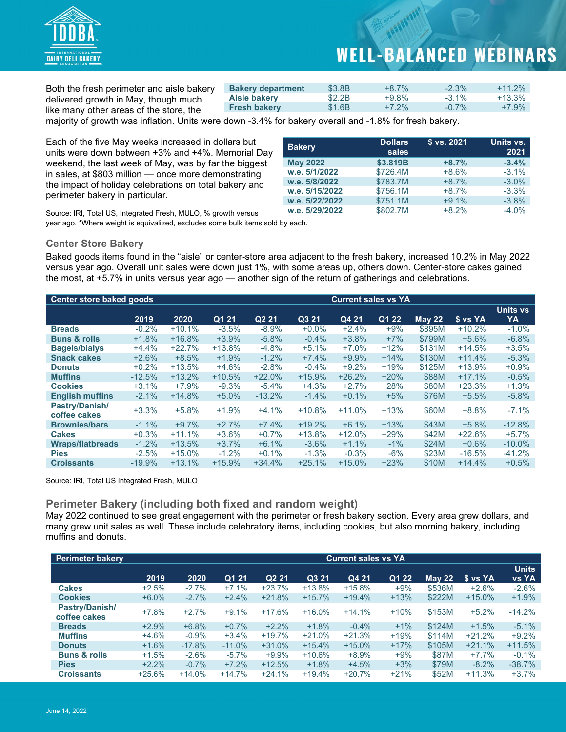

Both the fresh perimeter and aisle bakery delivered growth in May, though much like many other areas of the store, the

| <b>Bakery department</b> | \$3.8B | $+8.7\%$ | $-2.3\%$ | $+11.2\%$ |
|--------------------------|--------|----------|----------|-----------|
| Aisle bakery             | \$2.2B | $+9.8\%$ | $-3.1\%$ | $+13.3\%$ |
| <b>Fresh bakery</b>      | \$1.6B | $+7.2\%$ | $-0.7\%$ | $+7.9%$   |

majority of growth was inflation. Units were down -3.4% for bakery overall and -1.8% for fresh bakery.

Each of the five May weeks increased in dollars but units were down between +3% and +4%. Memorial Day weekend, the last week of May, was by far the biggest in sales, at \$803 million — once more demonstrating the impact of holiday celebrations on total bakery and perimeter bakery in particular.

| <b>Bakery</b>   | <b>Dollars</b><br>sales | \$ vs. 2021 | Units vs.<br>2021 |
|-----------------|-------------------------|-------------|-------------------|
| <b>May 2022</b> | \$3.819B                | $+8.7%$     | $-3.4%$           |
| w.e. 5/1/2022   | \$726.4M                | $+8.6%$     | $-3.1\%$          |
| w.e. 5/8/2022   | \$783.7M                | $+8.7%$     | $-3.0%$           |
| w.e. 5/15/2022  | \$756.1M                | $+8.7%$     | $-3.3%$           |
| w.e. 5/22/2022  | \$751.1M                | $+9.1%$     | $-3.8%$           |
| w.e. 5/29/2022  | \$802.7M                | $+8.2%$     | $-4.0%$           |

Source: IRI, Total US, Integrated Fresh, MULO, % growth versus year ago. \*Where weight is equivalized, excludes some bulk items sold by each.

### **Center Store Bakery**

Baked goods items found in the "aisle" or center-store area adjacent to the fresh bakery, increased 10.2% in May 2022 versus year ago. Overall unit sales were down just 1%, with some areas up, others down. Center-store cakes gained the most, at +5.7% in units versus year ago — another sign of the return of gatherings and celebrations.

| <b>Center store baked goods</b><br><b>Current sales vs YA</b> |          |          |          |                   |          |          |        |               |          |           |
|---------------------------------------------------------------|----------|----------|----------|-------------------|----------|----------|--------|---------------|----------|-----------|
|                                                               |          |          |          |                   |          |          |        |               |          | Units vs  |
|                                                               | 2019     | 2020     | Q1 21    | Q <sub>2</sub> 21 | Q3 21    | Q4 21    | Q1 22  | <b>May 22</b> | \$ vs YA | YA        |
| <b>Breads</b>                                                 | $-0.2%$  | $+10.1%$ | $-3.5%$  | $-8.9%$           | $+0.0%$  | $+2.4%$  | $+9%$  | \$895M        | $+10.2%$ | $-1.0%$   |
| <b>Buns &amp; rolls</b>                                       | $+1.8%$  | $+16.8%$ | $+3.9%$  | $-5.8%$           | $-0.4%$  | $+3.8%$  | $+7%$  | \$799M        | $+5.6%$  | $-6.8%$   |
| <b>Bagels/bialys</b>                                          | $+4.4%$  | $+22.7%$ | $+13.8%$ | $-4.8%$           | $+5.1%$  | $+7.0\%$ | $+12%$ | \$131M        | $+14.5%$ | $+3.5%$   |
| <b>Snack cakes</b>                                            | $+2.6%$  | $+8.5%$  | $+1.9%$  | $-1.2%$           | $+7.4%$  | $+9.9%$  | $+14%$ | \$130M        | $+11.4%$ | $-5.3%$   |
| <b>Donuts</b>                                                 | $+0.2%$  | $+13.5%$ | $+4.6%$  | $-2.8%$           | $-0.4%$  | $+9.2%$  | $+19%$ | \$125M        | $+13.9%$ | $+0.9%$   |
| <b>Muffins</b>                                                | $-12.5%$ | $+13.2%$ | $+10.5%$ | $+22.0%$          | $+15.9%$ | $+26.2%$ | $+20%$ | \$88M         | $+17.1%$ | $-0.5%$   |
| <b>Cookies</b>                                                | $+3.1%$  | $+7.9%$  | $-9.3%$  | $-5.4%$           | $+4.3%$  | $+2.7%$  | $+28%$ | \$80M         | $+23.3%$ | $+1.3%$   |
| <b>English muffins</b>                                        | $-2.1%$  | $+14.8%$ | $+5.0%$  | $-13.2%$          | $-1.4%$  | $+0.1%$  | $+5%$  | \$76M         | $+5.5%$  | $-5.8%$   |
| Pastry/Danish/<br>coffee cakes                                | $+3.3%$  | $+5.8%$  | $+1.9%$  | $+4.1%$           | $+10.8%$ | $+11.0%$ | $+13%$ | \$60M         | $+8.8%$  | $-7.1%$   |
| <b>Brownies/bars</b>                                          | $-1.1%$  | $+9.7%$  | $+2.7%$  | $+7.4%$           | $+19.2%$ | $+6.1%$  | $+13%$ | \$43M         | $+5.8%$  | $-12.8%$  |
| <b>Cakes</b>                                                  | $+0.3%$  | $+11.1%$ | $+3.6%$  | $+0.7%$           | $+13.8%$ | $+12.0%$ | $+29%$ | \$42M         | $+22.6%$ | $+5.7%$   |
| <b>Wraps/flatbreads</b>                                       | $-1.2%$  | $+13.5%$ | $+3.7%$  | $+6.1%$           | $-3.6%$  | $+1.1%$  | $-1\%$ | \$24M         | $+0.6%$  | $-10.0\%$ |
| <b>Pies</b>                                                   | $-2.5%$  | $+15.0%$ | $-1.2\%$ | $+0.1%$           | $-1.3%$  | $-0.3%$  | $-6%$  | \$23M         | $-16.5%$ | $-41.2%$  |
| <b>Croissants</b>                                             | $-19.9%$ | $+13.1%$ | $+15.9%$ | $+34.4%$          | $+25.1%$ | $+15.0%$ | $+23%$ | \$10M         | $+14.4%$ | $+0.5%$   |

Source: IRI, Total US Integrated Fresh, MULO

### **Perimeter Bakery (including both fixed and random weight)**

May 2022 continued to see great engagement with the perimeter or fresh bakery section. Every area grew dollars, and many grew unit sales as well. These include celebratory items, including cookies, but also morning bakery, including muffins and donuts.

| <b>Perimeter bakery</b>        |          |          |          |                   |          | <b>Current sales vs YA</b> |        |          |          |                              |
|--------------------------------|----------|----------|----------|-------------------|----------|----------------------------|--------|----------|----------|------------------------------|
|                                | 2019     | 2020     | Q1 21    | Q <sub>2</sub> 21 | Q3 21    | Q4 21                      | Q1 22  | May $22$ | \$ vs YA | <b>Units</b><br><b>vs YA</b> |
| <b>Cakes</b>                   | $+2.5%$  | $-2.7%$  | $+7.1%$  | $+23.7%$          | $+13.8%$ | $+15.8%$                   | $+9%$  | \$536M   | $+2.6%$  | $-2.6%$                      |
| <b>Cookies</b>                 | $+6.0\%$ | $-2.7%$  | $+2.4%$  | $+21.8%$          | $+15.7%$ | $+19.4%$                   | $+13%$ | \$222M   | $+15.0%$ | $+1.9%$                      |
| Pastry/Danish/<br>coffee cakes | $+7.8%$  | $+2.7%$  | $+9.1%$  | $+17.6%$          | $+16.0%$ | $+14.1%$                   | $+10%$ | \$153M   | $+5.2%$  | $-14.2%$                     |
| <b>Breads</b>                  | $+2.9%$  | $+6.8%$  | $+0.7%$  | $+2.2%$           | $+1.8%$  | $-0.4%$                    | $+1%$  | \$124M   | $+1.5%$  | $-5.1%$                      |
| <b>Muffins</b>                 | $+4.6%$  | $-0.9%$  | $+3.4%$  | $+19.7%$          | $+21.0%$ | $+21.3%$                   | $+19%$ | \$114M   | $+21.2%$ | $+9.2%$                      |
| <b>Donuts</b>                  | $+1.6%$  | $-17.8%$ | $-11.0%$ | $+31.0%$          | $+15.4%$ | $+15.0%$                   | $+17%$ | \$105M   | $+21.1%$ | $+11.5%$                     |
| <b>Buns &amp; rolls</b>        | $+1.5%$  | $-2.6%$  | $-5.7\%$ | $+9.9%$           | $+10.6%$ | $+8.9%$                    | $+9%$  | \$87M    | $+7.7%$  | $-0.1%$                      |
| <b>Pies</b>                    | $+2.2%$  | $-0.7%$  | $+7.2%$  | $+12.5%$          | $+1.8%$  | $+4.5%$                    | $+3%$  | \$79M    | $-8.2%$  | $-38.7%$                     |
| <b>Croissants</b>              | $+25.6%$ | $+14.0%$ | $+14.7%$ | $+24.1%$          | $+19.4%$ | $+20.7%$                   | $+21%$ | \$52M    | $+11.3%$ | $+3.7%$                      |